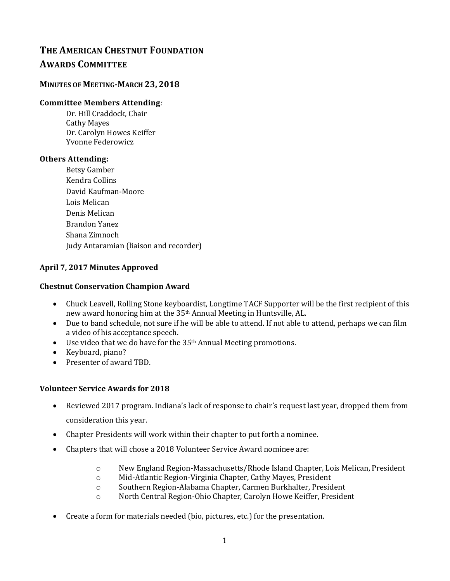# **THE AMERICAN CHESTNUT FOUNDATION AWARDS COMMITTEE**

## **MINUTES OF MEETING-MARCH 23, 2018**

### **Committee Members Attending***:*

Dr. Hill Craddock, Chair Cathy Mayes Dr. Carolyn Howes Keiffer Yvonne Federowicz

#### **Others Attending:**

Betsy Gamber Kendra Collins David Kaufman-Moore Lois Melican Denis Melican Brandon Yanez Shana Zimnoch Judy Antaramian (liaison and recorder)

#### **April 7, 2017 Minutes Approved**

#### **Chestnut Conservation Champion Award**

- Chuck Leavell, Rolling Stone keyboardist, Longtime TACF Supporter will be the first recipient of this new award honoring him at the 35th Annual Meeting in Huntsville, AL.
- Due to band schedule, not sure if he will be able to attend. If not able to attend, perhaps we can film a video of his acceptance speech.
- Use video that we do have for the 35<sup>th</sup> Annual Meeting promotions.
- Keyboard, piano?
- Presenter of award TBD.

#### **Volunteer Service Awards for 2018**

- Reviewed 2017 program. Indiana's lack of response to chair's request last year, dropped them from consideration this year.
- Chapter Presidents will work within their chapter to put forth a nominee.
- Chapters that will chose a 2018 Volunteer Service Award nominee are:
	- o New England Region-Massachusetts/Rhode Island Chapter, Lois Melican, President
	- o Mid-Atlantic Region-Virginia Chapter, Cathy Mayes, President
	- o Southern Region-Alabama Chapter, Carmen Burkhalter, President
	- o North Central Region-Ohio Chapter, Carolyn Howe Keiffer, President
- Create a form for materials needed (bio, pictures, etc.) for the presentation.